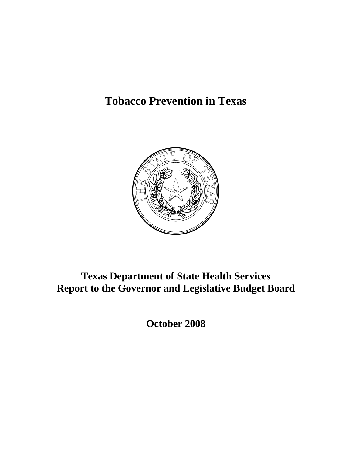# **Tobacco Prevention in Texas**



# **Texas Department of State Health Services Report to the Governor and Legislative Budget Board**

**October 2008**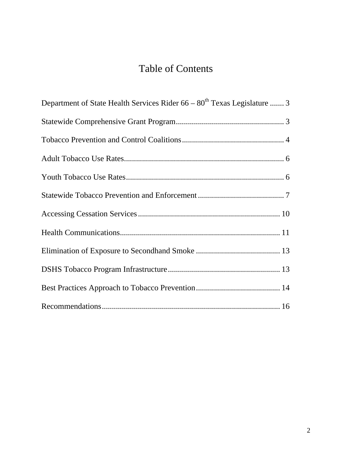# Table of Contents

| Department of State Health Services Rider 66 – 80 <sup>th</sup> Texas Legislature  3 |
|--------------------------------------------------------------------------------------|
|                                                                                      |
|                                                                                      |
|                                                                                      |
|                                                                                      |
|                                                                                      |
|                                                                                      |
|                                                                                      |
|                                                                                      |
|                                                                                      |
|                                                                                      |
|                                                                                      |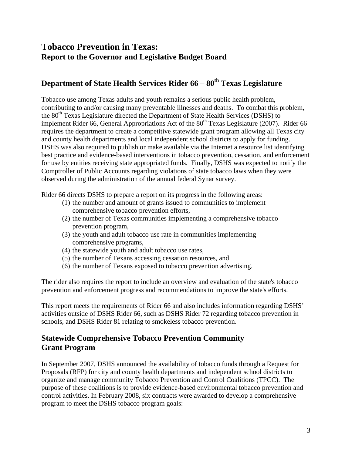# **Tobacco Prevention in Texas: Report to the Governor and Legislative Budget Board**

# **Department of State Health Services Rider 66 – 80<sup>th</sup> Texas Legislature**

Tobacco use among Texas adults and youth remains a serious public health problem, contributing to and/or causing many preventable illnesses and deaths. To combat this problem, the 80<sup>th</sup> Texas Legislature directed the Department of State Health Services (DSHS) to implement Rider 66, General Appropriations Act of the  $80<sup>th</sup>$  Texas Legislature (2007). Rider 66 requires the department to create a competitive statewide grant program allowing all Texas city and county health departments and local independent school districts to apply for funding. DSHS was also required to publish or make available via the Internet a resource list identifying best practice and evidence-based interventions in tobacco prevention, cessation, and enforcement for use by entities receiving state appropriated funds. Finally, DSHS was expected to notify the Comptroller of Public Accounts regarding violations of state tobacco laws when they were observed during the administration of the annual federal Synar survey.

Rider 66 directs DSHS to prepare a report on its progress in the following areas:

- (1) the number and amount of grants issued to communities to implement comprehensive tobacco prevention efforts,
- (2) the number of Texas communities implementing a comprehensive tobacco prevention program,
- (3) the youth and adult tobacco use rate in communities implementing comprehensive programs,
- (4) the statewide youth and adult tobacco use rates,
- (5) the number of Texans accessing cessation resources, and
- (6) the number of Texans exposed to tobacco prevention advertising.

The rider also requires the report to include an overview and evaluation of the state's tobacco prevention and enforcement progress and recommendations to improve the state's efforts.

This report meets the requirements of Rider 66 and also includes information regarding DSHS' activities outside of DSHS Rider 66, such as DSHS Rider 72 regarding tobacco prevention in schools, and DSHS Rider 81 relating to smokeless tobacco prevention.

# **Statewide Comprehensive Tobacco Prevention Community Grant Program**

In September 2007, DSHS announced the availability of tobacco funds through a Request for Proposals (RFP) for city and county health departments and independent school districts to organize and manage community Tobacco Prevention and Control Coalitions (TPCC). The purpose of these coalitions is to provide evidence-based environmental tobacco prevention and control activities. In February 2008, six contracts were awarded to develop a comprehensive program to meet the DSHS tobacco program goals: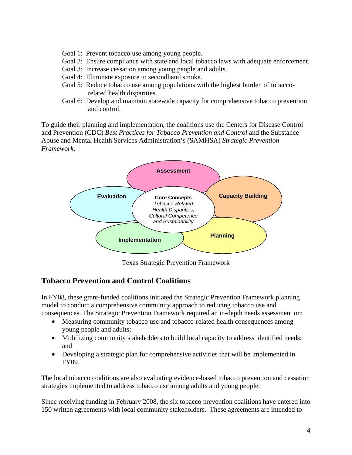- Goal 1: Prevent tobacco use among young people.
- Goal 2: Ensure compliance with state and local tobacco laws with adequate enforcement.
- Goal 3: Increase cessation among young people and adults.
- Goal 4: Eliminate exposure to secondhand smoke.
- Goal 5: Reduce tobacco use among populations with the highest burden of tobaccorelated health disparities.
- Goal 6: Develop and maintain statewide capacity for comprehensive tobacco prevention and control.

To guide their planning and implementation, the coalitions use the Centers for Disease Control and Prevention (CDC) *Best Practices for Tobacco Prevention and Control* and the Substance Abuse and Mental Health Services Administration's (SAMHSA) *Strategic Prevention Framework*.



Texas Strategic Prevention Framework

# **Tobacco Prevention and Control Coalitions**

In FY08, these grant-funded coalitions initiated the Strategic Prevention Framework planning model to conduct a comprehensive community approach to reducing tobacco use and consequences. The Strategic Prevention Framework required an in-depth needs assessment on:

- Measuring community tobacco use and tobacco-related health consequences among young people and adults;
- Mobilizing community stakeholders to build local capacity to address identified needs; and
- Developing a strategic plan for comprehensive activities that will be implemented in FY09.

The local tobacco coalitions are also evaluating evidence-based tobacco prevention and cessation strategies implemented to address tobacco use among adults and young people.

Since receiving funding in February 2008, the six tobacco prevention coalitions have entered into 150 written agreements with local community stakeholders. These agreements are intended to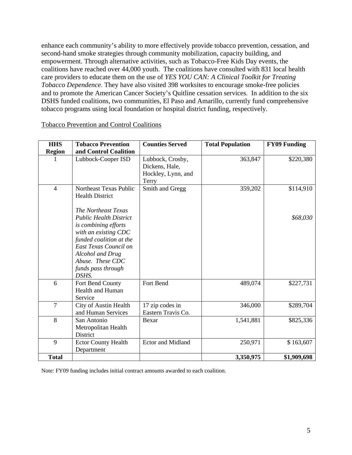enhance each community's ability to more effectively provide tobacco prevention, cessation, and second-hand smoke strategies through community mobilization, capacity building, and empowerment. Through alternative activities, such as Tobacco-Free Kids Day events, the coalitions have reached over 44,000 youth. The coalitions have consulted with 831 local health care providers to educate them on the use of *YES YOU CAN: A Clinical Toolkit for Treating Tobacco Dependence*. They have also visited 398 worksites to encourage smoke-free policies and to promote the American Cancer Society's Quitline cessation services. In addition to the six DSHS funded coalitions, two communities, El Paso and Amarillo, currently fund comprehensive tobacco programs using local foundation or hospital district funding, respectively.

| <b>HHS</b>     | <b>Tobacco Prevention</b>                                                                                                                                                                                                                                   | <b>Counties Served</b>                                            | <b>Total Population</b> | <b>FY09 Funding</b>   |
|----------------|-------------------------------------------------------------------------------------------------------------------------------------------------------------------------------------------------------------------------------------------------------------|-------------------------------------------------------------------|-------------------------|-----------------------|
| <b>Region</b>  | and Control Coalition                                                                                                                                                                                                                                       |                                                                   |                         |                       |
| 1              | Lubbock-Cooper ISD                                                                                                                                                                                                                                          | Lubbock, Crosby,<br>Dickens, Hale,<br>Hockley, Lynn, and<br>Terry | 363,847                 | \$220,380             |
| $\overline{4}$ | Northeast Texas Public<br><b>Health District</b><br>The Northeast Texas<br><b>Public Health District</b><br><i>is combining efforts</i><br>with an existing CDC<br>funded coalition at the<br>East Texas Council on<br>Alcohol and Drug<br>Abuse. These CDC | Smith and Gregg                                                   | 359,202                 | \$114,910<br>\$68,030 |
|                | funds pass through<br>DSHS.                                                                                                                                                                                                                                 |                                                                   |                         |                       |
| 6              | Fort Bend County<br><b>Health and Human</b><br>Service                                                                                                                                                                                                      | Fort Bend                                                         | 489,074                 | \$227,731             |
| 7              | City of Austin Health<br>and Human Services                                                                                                                                                                                                                 | 17 zip codes in<br>Eastern Travis Co.                             | 346,000                 | \$289,704             |
| 8              | San Antonio<br>Metropolitan Health<br>District                                                                                                                                                                                                              | Bexar                                                             | 1,541,881               | \$825,336             |
| 9              | <b>Ector County Health</b><br>Department                                                                                                                                                                                                                    | <b>Ector and Midland</b>                                          | 250,971                 | \$163,607             |
| <b>Total</b>   |                                                                                                                                                                                                                                                             |                                                                   | 3,350,975               | \$1,909,698           |

Tobacco Prevention and Control Coalitions

Note: FY09 funding includes initial contract amounts awarded to each coalition.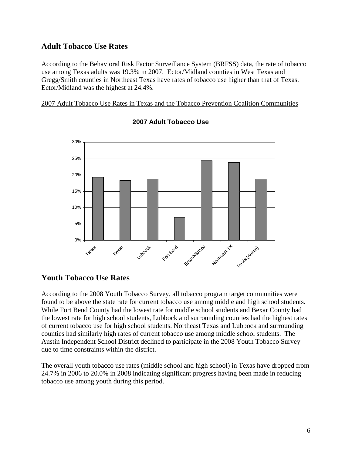# **Adult Tobacco Use Rates**

According to the Behavioral Risk Factor Surveillance System (BRFSS) data, the rate of tobacco use among Texas adults was 19.3% in 2007. Ector/Midland counties in West Texas and Gregg/Smith counties in Northeast Texas have rates of tobacco use higher than that of Texas. Ector/Midland was the highest at 24.4%.

2007 Adult Tobacco Use Rates in Texas and the Tobacco Prevention Coalition Communities



## **2007 Adult Tobacco Use**

# **Youth Tobacco Use Rates**

According to the 2008 Youth Tobacco Survey, all tobacco program target communities were found to be above the state rate for current tobacco use among middle and high school students. While Fort Bend County had the lowest rate for middle school students and Bexar County had the lowest rate for high school students, Lubbock and surrounding counties had the highest rates of current tobacco use for high school students. Northeast Texas and Lubbock and surrounding counties had similarly high rates of current tobacco use among middle school students. The Austin Independent School District declined to participate in the 2008 Youth Tobacco Survey due to time constraints within the district.

The overall youth tobacco use rates (middle school and high school) in Texas have dropped from 24.7% in 2006 to 20.0% in 2008 indicating significant progress having been made in reducing tobacco use among youth during this period.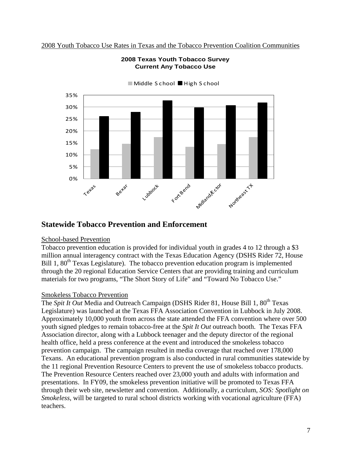2008 Youth Tobacco Use Rates in Texas and the Tobacco Prevention Coalition Communities



### **2008 Texas Youth Tobacco Survey Current Any Tobacco Use**

#### ■ Middle S chool ■ High S chool

# **Statewide Tobacco Prevention and Enforcement**

#### School-based Prevention

Tobacco prevention education is provided for individual youth in grades 4 to 12 through a \$3 million annual interagency contract with the Texas Education Agency (DSHS Rider 72, House Bill 1,  $80<sup>th</sup>$  Texas Legislature). The tobacco prevention education program is implemented through the 20 regional Education Service Centers that are providing training and curriculum materials for two programs, "The Short Story of Life" and "Toward No Tobacco Use."

#### Smokeless Tobacco Prevention

The *Spit It Out* Media and Outreach Campaign (DSHS Rider 81, House Bill 1, 80<sup>th</sup> Texas Legislature) was launched at the Texas FFA Association Convention in Lubbock in July 2008. Approximately 10,000 youth from across the state attended the FFA convention where over 500 youth signed pledges to remain tobacco-free at the *Spit It Out* outreach booth. The Texas FFA Association director, along with a Lubbock teenager and the deputy director of the regional health office, held a press conference at the event and introduced the smokeless tobacco prevention campaign. The campaign resulted in media coverage that reached over 178,000 Texans. An educational prevention program is also conducted in rural communities statewide by the 11 regional Prevention Resource Centers to prevent the use of smokeless tobacco products. The Prevention Resource Centers reached over 23,000 youth and adults with information and presentations. In FY09, the smokeless prevention initiative will be promoted to Texas FFA through their web site, newsletter and convention. Additionally, a curriculum, *SOS: Spotlight on Smokeless*, will be targeted to rural school districts working with vocational agriculture (FFA) teachers.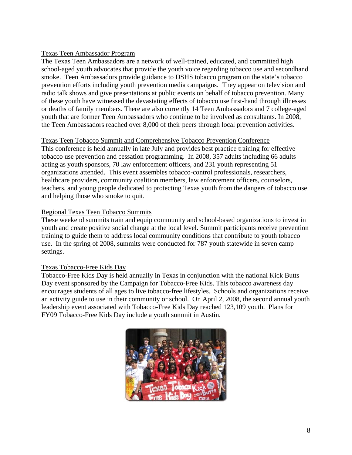## Texas Teen Ambassador Program

The Texas Teen Ambassadors are a network of well-trained, educated, and committed high school-aged youth advocates that provide the youth voice regarding tobacco use and secondhand smoke. Teen Ambassadors provide guidance to DSHS tobacco program on the state's tobacco prevention efforts including youth prevention media campaigns. They appear on television and radio talk shows and give presentations at public events on behalf of tobacco prevention. Many of these youth have witnessed the devastating effects of tobacco use first-hand through illnesses or deaths of family members. There are also currently 14 Teen Ambassadors and 7 college-aged youth that are former Teen Ambassadors who continue to be involved as consultants. In 2008, the Teen Ambassadors reached over 8,000 of their peers through local prevention activities.

#### Texas Teen Tobacco Summit and Comprehensive Tobacco Prevention Conference

This conference is held annually in late July and provides best practice training for effective tobacco use prevention and cessation programming. In 2008, 357 adults including 66 adults acting as youth sponsors, 70 law enforcement officers, and 231 youth representing 51 organizations attended. This event assembles tobacco-control professionals, researchers, healthcare providers, community coalition members, law enforcement officers, counselors, teachers, and young people dedicated to protecting Texas youth from the dangers of tobacco use and helping those who smoke to quit.

## Regional Texas Teen Tobacco Summits

These weekend summits train and equip community and school-based organizations to invest in youth and create positive social change at the local level. Summit participants receive prevention training to guide them to address local community conditions that contribute to youth tobacco use. In the spring of 2008, summits were conducted for 787 youth statewide in seven camp settings.

## Texas Tobacco-Free Kids Day

Tobacco-Free Kids Day is held annually in Texas in conjunction with the national Kick Butts Day event sponsored by the Campaign for Tobacco-Free Kids. This tobacco awareness day encourages students of all ages to live tobacco-free lifestyles. Schools and organizations receive an activity guide to use in their community or school. On April 2, 2008, the second annual youth leadership event associated with Tobacco-Free Kids Day reached 123,109 youth. Plans for FY09 Tobacco-Free Kids Day include a youth summit in Austin.

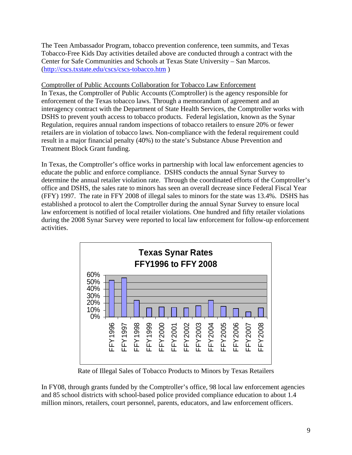The Teen Ambassador Program, tobacco prevention conference, teen summits, and Texas Tobacco-Free Kids Day activities detailed above are conducted through a contract with the Center for Safe Communities and Schools at Texas State University – San Marcos. (<http://cscs.txstate.edu/cscs/cscs-tobacco.htm>)

Comptroller of Public Accounts Collaboration for Tobacco Law Enforcement In Texas, the Comptroller of Public Accounts (Comptroller) is the agency responsible for enforcement of the Texas tobacco laws. Through a memorandum of agreement and an interagency contract with the Department of State Health Services, the Comptroller works with DSHS to prevent youth access to tobacco products. Federal legislation, known as the Synar Regulation, requires annual random inspections of tobacco retailers to ensure 20% or fewer retailers are in violation of tobacco laws. Non-compliance with the federal requirement could result in a major financial penalty (40%) to the state's Substance Abuse Prevention and Treatment Block Grant funding.

In Texas, the Comptroller's office works in partnership with local law enforcement agencies to educate the public and enforce compliance. DSHS conducts the annual Synar Survey to determine the annual retailer violation rate. Through the coordinated efforts of the Comptroller's office and DSHS, the sales rate to minors has seen an overall decrease since Federal Fiscal Year (FFY) 1997. The rate in FFY 2008 of illegal sales to minors for the state was 13.4%. DSHS has established a protocol to alert the Comptroller during the annual Synar Survey to ensure local law enforcement is notified of local retailer violations. One hundred and fifty retailer violations during the 2008 Synar Survey were reported to local law enforcement for follow-up enforcement activities.



Rate of Illegal Sales of Tobacco Products to Minors by Texas Retailers

In FY08, through grants funded by the Comptroller's office, 98 local law enforcement agencies and 85 school districts with school-based police provided compliance education to about 1.4 million minors, retailers, court personnel, parents, educators, and law enforcement officers.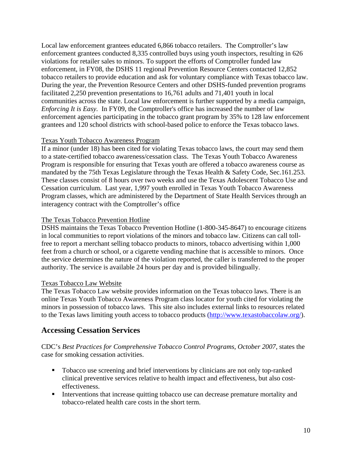Local law enforcement grantees educated 6,866 tobacco retailers. The Comptroller's law enforcement grantees conducted 8,335 controlled buys using youth inspectors, resulting in 626 violations for retailer sales to minors. To support the efforts of Comptroller funded law enforcement, in FY08, the DSHS 11 regional Prevention Resource Centers contacted 12,852 tobacco retailers to provide education and ask for voluntary compliance with Texas tobacco law. During the year, the Prevention Resource Centers and other DSHS-funded prevention programs facilitated 2,250 prevention presentations to 16,761 adults and 71,401 youth in local communities across the state. Local law enforcement is further supported by a media campaign, *Enforcing It is Easy.* In FY09, the Comptroller's office has increased the number of law enforcement agencies participating in the tobacco grant program by 35% to 128 law enforcement grantees and 120 school districts with school-based police to enforce the Texas tobacco laws.

#### Texas Youth Tobacco Awareness Program

If a minor (under 18) has been cited for violating Texas tobacco laws, the court may send them to a state-certified tobacco awareness/cessation class. The Texas Youth Tobacco Awareness Program is responsible for ensuring that Texas youth are offered a tobacco awareness course as mandated by the 75th Texas Legislature through the Texas Health & Safety Code, Sec.161.253. These classes consist of 8 hours over two weeks and use the Texas Adolescent Tobacco Use and Cessation curriculum. Last year, 1,997 youth enrolled in Texas Youth Tobacco Awareness Program classes, which are administered by the Department of State Health Services through an interagency contract with the Comptroller's office

#### The Texas Tobacco Prevention Hotline

DSHS maintains the Texas Tobacco Prevention Hotline (1-800-345-8647) to encourage citizens in local communities to report violations of the minors and tobacco law. Citizens can call tollfree to report a merchant selling tobacco products to minors, tobacco advertising within 1,000 feet from a church or school, or a cigarette vending machine that is accessible to minors. Once the service determines the nature of the violation reported, the caller is transferred to the proper authority. The service is available 24 hours per day and is provided bilingually.

#### Texas Tobacco Law Website

The Texas Tobacco Law website provides information on the Texas tobacco laws. There is an online Texas Youth Tobacco Awareness Program class locator for youth cited for violating the minors in possession of tobacco laws. This site also includes external links to resources related to the Texas laws limiting youth access to tobacco products ([http://www.texastobaccolaw.org/\)](http://www.texastobaccolaw.org/).

# **Accessing Cessation Services**

CDC's *Best Practices for Comprehensive Tobacco Control Programs, October 2007,* states the case for smoking cessation activities.

- Tobacco use screening and brief interventions by clinicians are not only top-ranked clinical preventive services relative to health impact and effectiveness, but also costeffectiveness.
- **Interventions that increase quitting tobacco use can decrease premature mortality and** tobacco-related health care costs in the short term.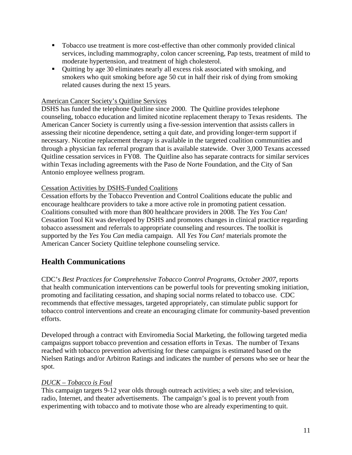- Tobacco use treatment is more cost-effective than other commonly provided clinical services, including mammography, colon cancer screening, Pap tests, treatment of mild to moderate hypertension, and treatment of high cholesterol.
- Quitting by age 30 eliminates nearly all excess risk associated with smoking, and smokers who quit smoking before age 50 cut in half their risk of dying from smoking related causes during the next 15 years.

## American Cancer Society's Quitline Services

DSHS has funded the telephone Quitline since 2000. The Quitline provides telephone counseling, tobacco education and limited nicotine replacement therapy to Texas residents. The American Cancer Society is currently using a five-session intervention that assists callers in assessing their nicotine dependence, setting a quit date, and providing longer-term support if necessary. Nicotine replacement therapy is available in the targeted coalition communities and through a physician fax referral program that is available statewide. Over 3,000 Texans accessed Quitline cessation services in FY08. The Quitline also has separate contracts for similar services within Texas including agreements with the Paso de Norte Foundation, and the City of San Antonio employee wellness program.

## Cessation Activities by DSHS-Funded Coalitions

Cessation efforts by the Tobacco Prevention and Control Coalitions educate the public and encourage healthcare providers to take a more active role in promoting patient cessation. Coalitions consulted with more than 800 healthcare providers in 2008. The *Yes You Can!* Cessation Tool Kit was developed by DSHS and promotes changes in clinical practice regarding tobacco assessment and referrals to appropriate counseling and resources. The toolkit is supported by the *Yes You Can* media campaign. All *Yes You Can!* materials promote the American Cancer Society Quitline telephone counseling service.

# **Health Communications**

CDC's *Best Practices for Comprehensive Tobacco Control Programs, October 2007,* reports that health communication interventions can be powerful tools for preventing smoking initiation, promoting and facilitating cessation, and shaping social norms related to tobacco use. CDC recommends that effective messages, targeted appropriately, can stimulate public support for tobacco control interventions and create an encouraging climate for community-based prevention efforts.

Developed through a contract with Enviromedia Social Marketing, the following targeted media campaigns support tobacco prevention and cessation efforts in Texas. The number of Texans reached with tobacco prevention advertising for these campaigns is estimated based on the Nielsen Ratings and/or Arbitron Ratings and indicates the number of persons who see or hear the spot.

## *DUCK – Tobacco is Foul*

This campaign targets 9-12 year olds through outreach activities; a web site; and television, radio, Internet, and theater advertisements. The campaign's goal is to prevent youth from experimenting with tobacco and to motivate those who are already experimenting to quit.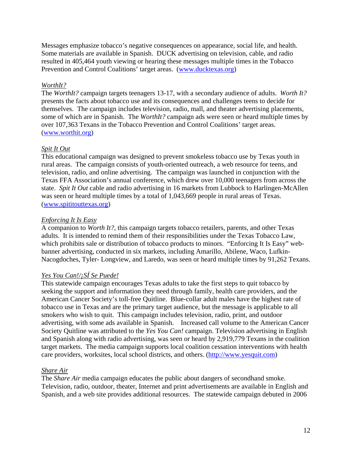Messages emphasize tobacco's negative consequences on appearance, social life, and health. Some materials are available in Spanish. DUCK advertising on television, cable, and radio resulted in 405,464 youth viewing or hearing these messages multiple times in the Tobacco Prevention and Control Coalitions' target areas. [\(www.ducktexas.org](http://www.ducktexas.org/))

## *WorthIt?*

The *WorthIt?* campaign targets teenagers 13-17, with a secondary audience of adults. *Worth It?*  presents the facts about tobacco use and its consequences and challenges teens to decide for themselves. The campaign includes television, radio, mall, and theater advertising placements, some of which are in Spanish. The *WorthIt?* campaign ads were seen or heard multiple times by over 107,363 Texans in the Tobacco Prevention and Control Coalitions' target areas. ([www.worthit.org\)](http://www.worthit.org/)

## *Spit It Out*

This educational campaign was designed to prevent smokeless tobacco use by Texas youth in rural areas. The campaign consists of youth-oriented outreach, a web resource for teens, and television, radio, and online advertising. The campaign was launched in conjunction with the Texas FFA Association's annual conference, which drew over 10,000 teenagers from across the state. *Spit It Out* cable and radio advertising in 16 markets from Lubbock to Harlingen-McAllen was seen or heard multiple times by a total of 1,043,669 people in rural areas of Texas. ([www.spititouttexas.org\)](http://www.spititouttexas.org/)

## *Enforcing It Is Easy*

A companion to *Worth It?*, this campaign targets tobacco retailers, parents, and other Texas adults. It is intended to remind them of their responsibilities under the Texas Tobacco Law, which prohibits sale or distribution of tobacco products to minors. "Enforcing It Is Easy" webbanner advertising, conducted in six markets, including Amarillo, Abilene, Waco, Lufkin-Nacogdoches, Tyler- Longview, and Laredo, was seen or heard multiple times by 91,262 Texans.

# *Yes You Can!/¡SÍ Se Puede!*

This statewide campaign encourages Texas adults to take the first steps to quit tobacco by seeking the support and information they need through family, health care providers, and the American Cancer Society's toll-free Quitline. Blue-collar adult males have the highest rate of tobacco use in Texas and are the primary target audience, but the message is applicable to all smokers who wish to quit. This campaign includes television, radio, print, and outdoor advertising, with some ads available in Spanish. Increased call volume to the American Cancer Society Quitline was attributed to the *Yes You Can!* campaign. Television advertising in English and Spanish along with radio advertising, was seen or heard by 2,919,779 Texans in the coalition target markets. The media campaign supports local coalition cessation interventions with health care providers, worksites, local school districts, and others. ([http://www.yesquit.com\)](http://www.yesquit.com/)

## *Share Air*

The *Share Air* media campaign educates the public about dangers of secondhand smoke. Television, radio, outdoor, theater, Internet and print advertisements are available in English and Spanish, and a web site provides additional resources. The statewide campaign debuted in 2006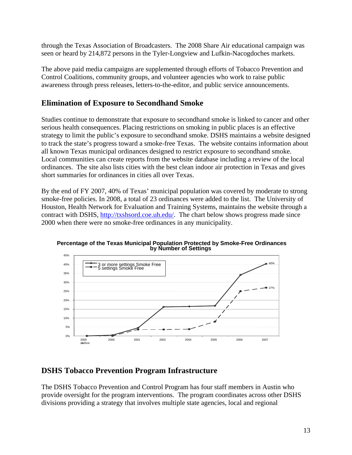through the Texas Association of Broadcasters. The 2008 Share Air educational campaign was seen or heard by 214,872 persons in the Tyler-Longview and Lufkin-Nacogdoches markets.

The above paid media campaigns are supplemented through efforts of Tobacco Prevention and Control Coalitions, community groups, and volunteer agencies who work to raise public awareness through press releases, letters-to-the-editor, and public service announcements.

# **Elimination of Exposure to Secondhand Smoke**

Studies continue to demonstrate that exposure to secondhand smoke is linked to cancer and other serious health consequences. Placing restrictions on smoking in public places is an effective strategy to limit the public's exposure to secondhand smoke. DSHS maintains a website designed to track the state's progress toward a smoke-free Texas. The website contains information about all known Texas municipal ordinances designed to restrict exposure to secondhand smoke. Local communities can create reports from the website database including a review of the local ordinances. The site also lists cities with the best clean indoor air protection in Texas and gives short summaries for ordinances in cities all over Texas.

By the end of FY 2007, 40% of Texas' municipal population was covered by moderate to strong smoke-free policies. In 2008, a total of 23 ordinances were added to the list. The University of Houston, Health Network for Evaluation and Training Systems, maintains the website through a contract with DSHS, <http://txshsord.coe.uh.edu/>. The chart below shows progress made since 2000 when there were no smoke-free ordinances in any municipality.



**Percentage of the Texas Municipal Population Protected by Smoke-Free Ordinances by Number of Settings**

# **DSHS Tobacco Prevention Program Infrastructure**

The DSHS Tobacco Prevention and Control Program has four staff members in Austin who provide oversight for the program interventions. The program coordinates across other DSHS divisions providing a strategy that involves multiple state agencies, local and regional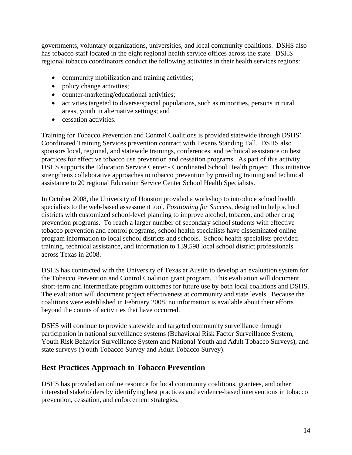governments, voluntary organizations, universities, and local community coalitions. DSHS also has tobacco staff located in the eight regional health service offices across the state. DSHS regional tobacco coordinators conduct the following activities in their health services regions:

- community mobilization and training activities;
- policy change activities;
- counter-marketing/educational activities;
- activities targeted to diverse/special populations, such as minorities, persons in rural areas, youth in alternative settings; and
- cessation activities.

Training for Tobacco Prevention and Control Coalitions is provided statewide through DSHS' Coordinated Training Services prevention contract with Texans Standing Tall. DSHS also sponsors local, regional, and statewide trainings, conferences, and technical assistance on best practices for effective tobacco use prevention and cessation programs. As part of this activity, DSHS supports the Education Service Center - Coordinated School Health project. This initiative strengthens collaborative approaches to tobacco prevention by providing training and technical assistance to 20 regional Education Service Center School Health Specialists.

In October 2008, the University of Houston provided a workshop to introduce school health specialists to the web-based assessment tool, *Positioning for Success,* designed to help school districts with customized school-level planning to improve alcohol, tobacco, and other drug prevention programs. To reach a larger number of secondary school students with effective tobacco prevention and control programs, school health specialists have disseminated online program information to local school districts and schools. School health specialists provided training, technical assistance, and information to 139,598 local school district professionals across Texas in 2008.

DSHS has contracted with the University of Texas at Austin to develop an evaluation system for the Tobacco Prevention and Control Coalition grant program. This evaluation will document short-term and intermediate program outcomes for future use by both local coalitions and DSHS. The evaluation will document project effectiveness at community and state levels. Because the coalitions were established in February 2008, no information is available about their efforts beyond the counts of activities that have occurred.

DSHS will continue to provide statewide and targeted community surveillance through participation in national surveillance systems (Behavioral Risk Factor Surveillance System, Youth Risk Behavior Surveillance System and National Youth and Adult Tobacco Surveys), and state surveys (Youth Tobacco Survey and Adult Tobacco Survey).

# **Best Practices Approach to Tobacco Prevention**

DSHS has provided an online resource for local community coalitions, grantees, and other interested stakeholders by identifying best practices and evidence-based interventions in tobacco prevention, cessation, and enforcement strategies.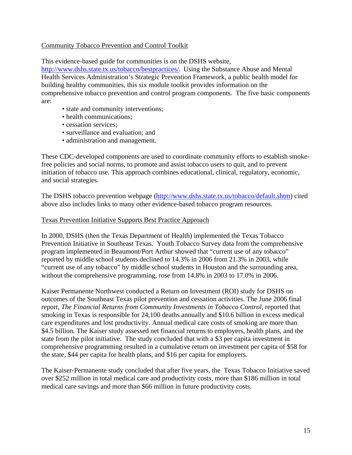## Community Tobacco Prevention and Control Toolkit

This evidence-based guide for communities is on the DSHS website,

<http://www.dshs.state.tx.us/tobacco/bestpractices/>. Using the Substance Abuse and Mental Health Services Administration's Strategic Prevention Framework, a public health model for building healthy communities, this six module toolkit provides information on the comprehensive tobacco prevention and control program components. The five basic components are:

- state and community interventions;
- health communications:
- cessation services:
- surveillance and evaluation; and
- administration and management.

These CDC-developed components are used to coordinate community efforts to establish smokefree policies and social norms, to promote and assist tobacco users to quit, and to prevent initiation of tobacco use. This approach combines educational, clinical, regulatory, economic, and social strategies.

The DSHS tobacco prevention webpage (<http://www.dshs.state.tx.us/tobacco/default.shtm>) cited above also includes links to many other evidence-based tobacco program resources.

#### Texas Prevention Initiative Supports Best Practice Approach

In 2000, DSHS (then the Texas Department of Health) implemented the Texas Tobacco Prevention Initiative in Southeast Texas. Youth Tobacco Survey data from the comprehensive program implemented in Beaumont/Port Arthur showed that "current use of any tobacco" reported by middle school students declined to 14.3% in 2006 from 21.3% in 2003, while "current use of any tobacco" by middle school students in Houston and the surrounding area, without the comprehensive programming, rose from 14.8% in 2003 to 17.0% in 2006.

Kaiser Permanente Northwest conducted a Return on Investment (ROI) study for DSHS on outcomes of the Southeast Texas pilot prevention and cessation activities. The June 2006 final report, *The Financial Returns from Community Investments in Tobacco Control*, reported that smoking in Texas is responsible for 24,100 deaths annually and \$10.6 billion in excess medical care expenditures and lost productivity. Annual medical care costs of smoking are more than \$4.5 billion. The Kaiser study assessed net financial returns to employers, health plans, and the state from the pilot initiative. The study concluded that with a \$3 per capita investment in comprehensive programming resulted in a cumulative return on investment per capita of \$58 for the state, \$44 per capita for health plans, and \$16 per capita for employers.

The Kaiser-Permanente study concluded that after five years, the Texas Tobacco Initiative saved over \$252 million in total medical care and productivity costs, more than \$186 million in total medical care savings and more than \$66 million in future productivity costs.